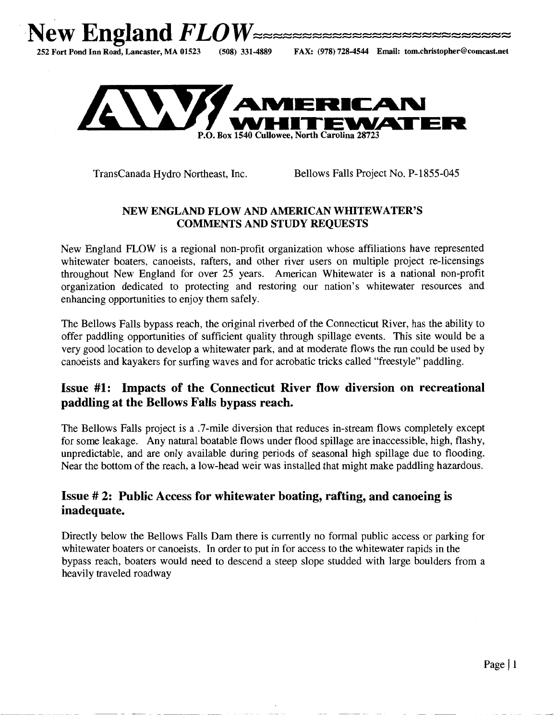



TransCanada Hydro Northeast, Inc. Bellows Falls Project No. P-1855-045

#### NEW ENGLAND FLOW AND AMERICAN WHITEWATER'S COMMENTS AND STUDY REQUESTS

New England FLOW is a regional non-profit organization whose affiliations have represented whitewater boaters, canoeists, rafters, and other river users on multiple project re-licensings throughout New England for over 25 years. American Whitewater is a national non-profit organization dedicated to protecting and restoring our nation's whitewater resources and enhancing opportunities to enjoy them safely.

The Bellows Falls bypass reach, the original riverbed of the Connecticut River, has the ability to offer paddling opportunities of sufficient quality through spillage events. This site would be a very good location to develop a whitewater park, and at moderate flows the run could be used by canoeists and kayakers for surfing waves and for acrobatic tricks called "freestyle" paddling.

## Issue **#1:** Impacts of the Connecticut River flow diversion on recreational paddling at the Bellows Falls bypass reach.

The Bellows Falls project is a .7-mile diversion that reduces in-stream flows completely except for some leakage. Any natural boatable flows under flood spillage are inaccessible, high, flashy, unpredictable, and are only available during periods of seasonal high spillage due to flooding. Near the bottom of the reach, a low-head weir was installed that might make paddling hazardous.

## Issue # 2: Public Access for whitewater boating, rafting, and canoeing is inadequate.

Directly below the Bellows Falls Dam there is currently no formal public access or parking for whitewater boaters or canoeists. In order to put in for access to the whitewater rapids in the bypass reach, boaters would need to descend a steep slope studded with large boulders from a heavily traveled roadway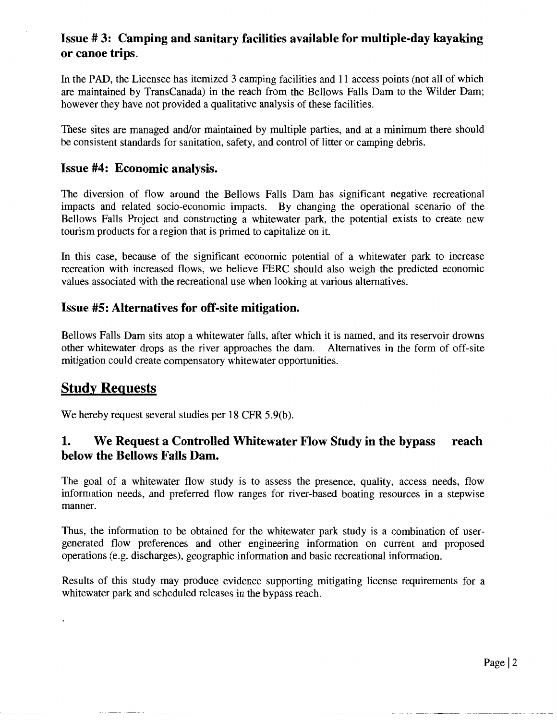## **Issue# 3: Camping and sanitary facilities available for multiple-day kayaking or canoe trips.**

In the PAD, the Licensee has itemized 3 camping facilities and 11 access points (not all of which are maintained by TransCanada) in the reach from the Bellows Falls Dam to the Wilder Dam; however they have not provided a qualitative analysis of these facilities.

These sites are managed and/or maintained by multiple parties, and at a minimum there should be consistent standards for sanitation, safety, and control of litter or camping debris.

#### **Issue #4: Economic analysis.**

The diversion of flow around the Bellows Falls Dam has significant negative recreational impacts and related socio-economic impacts. By changing the operational scenario of the Bellows Falls Project and constructing a whitewater park, the potential exists to create new tourism products for a region that is primed to capitalize on it.

In this case, because of the significant economic potential of a whitewater park to increase recreation with increased flows, we believe PERC should also weigh the predicted economic values associated with the recreational use when looking at various alternatives.

#### **Issue #5: Alternatives for off-site mitigation.**

Bellows Falls Dam sits atop a whitewater falls, after which it is named, and its reservoir drowns other whitewater drops as the river approaches the dam. Alternatives in the form of off-site mitigation could create compensatory whitewater opportunities.

# **Study Reguests**

We hereby request several studies per 18 CFR 5.9(b).

## **1. We Request a Controlled Whitewater Flow Study in the bypass reach below the Bellows Falls Dam.**

The goal of a whitewater flow study is to assess the presence, quality, access needs, flow information needs, and preferred flow ranges for river-based boating resources in a stepwise manner.

Thus, the information to be obtained for the whitewater park study is a combination of usergenerated flow preferences and other engineering information on current and proposed operations (e.g. discharges), geographic information and basic recreational information.

Results of this study may produce evidence supporting mitigating license requirements for a whitewater park and scheduled releases in the bypass reach.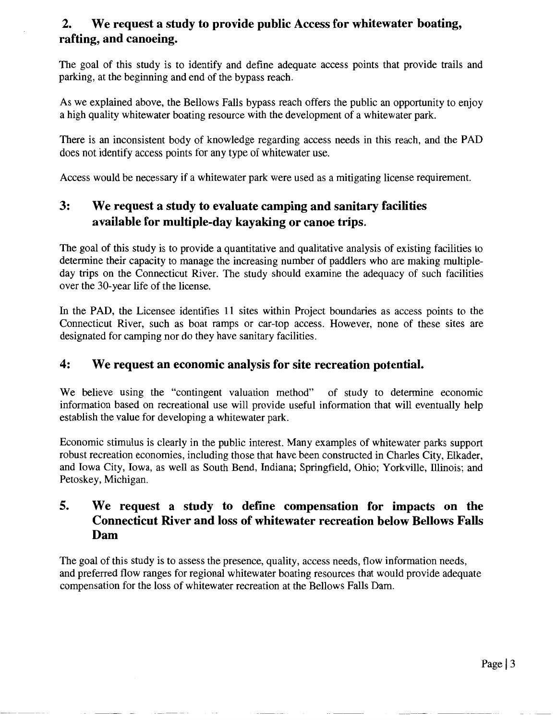## **2. We request a study to provide public Access for whitewater boating, rafting, and canoeing.**

The goal of this study is to identify and define adequate access points that provide trails and parking, at the beginning and end of the bypass reach.

As we explained above, the Bellows Falls bypass reach offers the public an opportunity to enjoy a high quality whitewater boating resource with the development of a whitewater park.

There is an inconsistent body of knowledge regarding access needs in this reach, and the PAD does not identify access points for any type of whitewater use.

Access would be necessary if a whitewater park were used as a mitigating license requirement.

# **3: We request a study to evaluate camping and sanitary facilities available for multiple-day kayaking or canoe trips.**

The goal of this study is to provide a quantitative and qualitative analysis of existing facilities to determine their capacity to manage the increasing number of paddlers who are making multipleday trips on the Connecticut River. The study should examine the adequacy of such facilities over the 30-year life of the license.

In the PAD, the Licensee identifies 11 sites within Project boundaries as access points to the Connecticut River, such as boat ramps or car-top access. However, none of these sites are designated for camping nor do they have sanitary facilities.

### **4: We request an economic analysis for site recreation potential.**

We believe using the "contingent valuation method" of study to determine economic information based on recreational use will provide useful information that will eventually help establish the value for developing a whitewater park.

Economic stimulus is clearly in the public interest. Many examples of whitewater parks support robust recreation economies, including those that have been constructed in Charles City, Elkader, and Iowa City, Iowa, as well as South Bend, Indiana; Springfield, Ohio; Yorkville, lllinois; and Petoskey, Michigan.

## **5. We request a study to define compensation for impacts on the Connecticut River and loss of whitewater recreation below Bellows Falls Dam**

The goal of this study is to assess the presence, quality, access needs, flow information needs, and preferred flow ranges for regional whitewater boating resources that would provide adequate compensation for the loss of whitewater recreation at the Bellows Falls Dam.